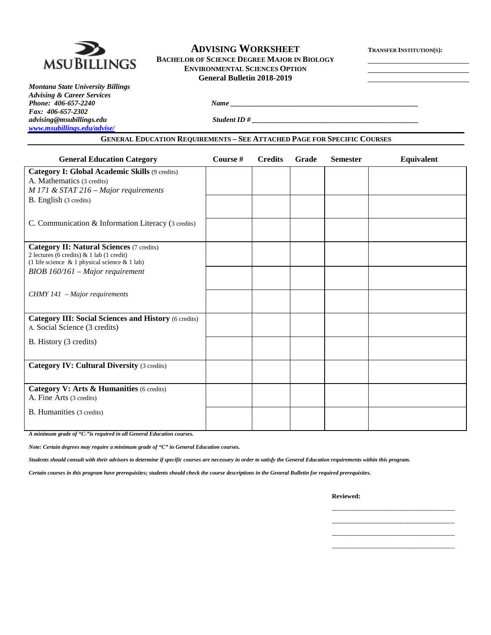| <b>ADVISING WORKSHEET</b><br><b>BACHELOR OF SCIENCE DEGREE MAJOR IN BIOLOGY</b><br><b>MSUBILLINGS</b><br><b>ENVIRONMENTAL SCIENCES OPTION</b>                                                                                                                              | <b>TRANSFER INSTITUTION(S):</b>   |                |       |                 |            |
|----------------------------------------------------------------------------------------------------------------------------------------------------------------------------------------------------------------------------------------------------------------------------|-----------------------------------|----------------|-------|-----------------|------------|
| <b>Montana State University Billings</b><br><b>Advising &amp; Career Services</b><br>Phone: 406-657-2240<br>Fax: 406-657-2302<br>advising@msubillings.edu<br>www.msubillings.edu/advise/<br><b>GENERAL EDUCATION REQUIREMENTS - SEE ATTACHED PAGE FOR SPECIFIC COURSES</b> | <b>General Bulletin 2018-2019</b> |                |       |                 | $Name \_$  |
| <b>General Education Category</b>                                                                                                                                                                                                                                          | Course #                          | <b>Credits</b> | Grade | <b>Semester</b> | Equivalent |
| <b>Category I: Global Academic Skills (9 credits)</b><br>A. Mathematics (3 credits)<br>$M$ 171 & STAT 216 – Major requirements<br>B. English (3 credits)                                                                                                                   |                                   |                |       |                 |            |
| C. Communication & Information Literacy (3 credits)                                                                                                                                                                                                                        |                                   |                |       |                 |            |
| <b>Category II: Natural Sciences (7 credits)</b><br>2 lectures (6 credits) & 1 lab (1 credit)<br>(1 life science $\&$ 1 physical science $\&$ 1 lab)<br>$BIOB$ 160/161 – Major requirement                                                                                 |                                   |                |       |                 |            |
| CHMY 141 - Major requirements                                                                                                                                                                                                                                              |                                   |                |       |                 |            |
| <b>Category III: Social Sciences and History (6 credits)</b><br>A. Social Science (3 credits)                                                                                                                                                                              |                                   |                |       |                 |            |
| B. History (3 credits)                                                                                                                                                                                                                                                     |                                   |                |       |                 |            |
| <b>Category IV: Cultural Diversity (3 credits)</b>                                                                                                                                                                                                                         |                                   |                |       |                 |            |
| Category V: Arts & Humanities (6 credits)<br>A. Fine Arts (3 credits)                                                                                                                                                                                                      |                                   |                |       |                 |            |
| B. Humanities (3 credits)                                                                                                                                                                                                                                                  |                                   |                |       |                 |            |

*A minimum grade of "C-"is required in all General Education courses.* 

*Note: Certain degrees may require a minimum grade of "C" in General Education courses.* 

*Students should consult with their advisors to determine if specific courses are necessary in order to satisfy the General Education requirements within this program.*

*Certain courses in this program have prerequisites; students should check the course descriptions in the General Bulletin for required prerequisites.*

**Reviewed:**

\_\_\_\_\_\_\_\_\_\_\_\_\_\_\_\_\_\_\_\_\_\_\_\_\_\_\_\_\_\_\_\_\_\_ \_\_\_\_\_\_\_\_\_\_\_\_\_\_\_\_\_\_\_\_\_\_\_\_\_\_\_\_\_\_\_\_\_\_ \_\_\_\_\_\_\_\_\_\_\_\_\_\_\_\_\_\_\_\_\_\_\_\_\_\_\_\_\_\_\_\_\_\_ \_\_\_\_\_\_\_\_\_\_\_\_\_\_\_\_\_\_\_\_\_\_\_\_\_\_\_\_\_\_\_\_\_\_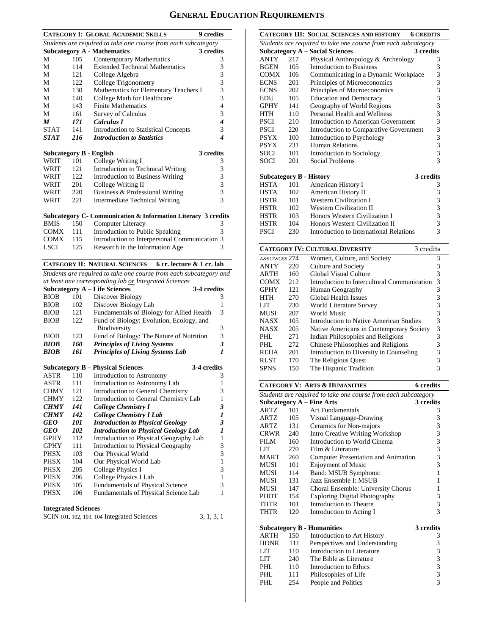# **GENERAL EDUCATION REQUIREMENTS**

|                         |     | <b>CATEGORY I: GLOBAL ACADEMIC SKILLS</b>                          | <b>9</b> credits        |
|-------------------------|-----|--------------------------------------------------------------------|-------------------------|
|                         |     | Students are required to take one course from each subcategory     |                         |
|                         |     | <b>Subcategory A - Mathematics</b>                                 | 3 credits               |
| М                       | 105 | Contemporary Mathematics                                           | 3                       |
| М                       | 114 | <b>Extended Technical Mathematics</b>                              | 3                       |
| М                       | 121 | College Algebra                                                    | 3                       |
| М                       | 122 | College Trigonometry                                               | 3                       |
| М                       | 130 | Mathematics for Elementary Teachers I                              | 3                       |
| М                       | 140 | College Math for Healthcare                                        | 3                       |
| М                       | 143 | <b>Finite Mathematics</b>                                          | $\overline{4}$          |
| М                       | 161 | <b>Survey of Calculus</b>                                          | 3                       |
| M                       | 171 | Calculus I                                                         | 4                       |
| STAT                    | 141 | <b>Introduction to Statistical Concepts</b>                        | 3                       |
| STAT                    | 216 | <b>Introduction to Statistics</b>                                  | 4                       |
| Subcategory B - English |     |                                                                    | 3 credits               |
| WRIT                    | 101 | College Writing I                                                  | 3                       |
| WRIT                    | 121 | Introduction to Technical Writing                                  | 3                       |
| WRIT                    | 122 | <b>Introduction to Business Writing</b>                            | 3                       |
| WRIT                    | 201 | College Writing II                                                 | 3                       |
| WRIT                    | 220 | Business & Professional Writing                                    | 3                       |
| WRIT                    | 221 | <b>Intermediate Technical Writing</b>                              | $\overline{\mathbf{3}}$ |
|                         |     |                                                                    |                         |
|                         |     | Subcategory C- Communication & Information Literacy 3 credits      |                         |
| <b>BMIS</b>             | 150 | Computer Literacy                                                  | 3                       |
| COMX                    | 111 | Introduction to Public Speaking                                    | 3                       |
| COMX                    | 115 | Introduction to Interpersonal Communication 3                      |                         |
| LSCI                    | 125 | Research in the Information Age                                    | 3                       |
|                         |     | <b>CATEGORY II: NATURAL SCIENCES</b><br>6 cr. lecture & 1 cr. lab  |                         |
|                         |     | Students are required to take one course from each subcategory and |                         |
|                         |     | at least one corresponding lab or Integrated Sciences              |                         |
|                         |     | <b>Subcategory A - Life Sciences</b>                               | 3-4 credits             |
| <b>BIOB</b>             | 101 | Discover Biology                                                   | 3                       |
| <b>BIOB</b>             | 102 | Discover Biology Lab                                               | 1                       |
| BIOB                    | 121 | Fundamentals of Biology for Allied Health                          | 3                       |
| <b>BIOB</b>             | 122 | Fund of Biology: Evolution, Ecology, and                           |                         |
| <b>BIOB</b>             | 123 | Biodiversity<br>Fund of Biology: The Nature of Nutrition           | 3<br>3                  |
| BIOB                    | 160 | <b>Principles of Living Systems</b>                                | 3                       |
| <b>BIOB</b>             | 161 | Principles of Living Systems Lab                                   | $\boldsymbol{l}$        |
|                         |     |                                                                    |                         |
|                         |     | <b>Subcategory B – Physical Sciences</b>                           | 3-4 credits             |
| ASTR                    | 110 | Introduction to Astronomy                                          | 3                       |
| ASTR                    | 111 | Introduction to Astronomy Lab                                      | 1                       |
| <b>CHMY</b>             | 121 | Introduction to General Chemistry                                  | 3                       |
| <b>CHMY</b>             | 122 | Introduction to General Chemistry Lab                              | 1                       |
| <b>CHMY</b>             | 141 | <b>College Chemistry I</b>                                         | 3                       |

|             |     | ma ou action to concrui chemba ,            |   |
|-------------|-----|---------------------------------------------|---|
| <b>CHMY</b> | 122 | Introduction to General Chemistry Lab       |   |
| <b>CHMY</b> | 141 | College Chemistry I                         | 3 |
| <b>CHMY</b> | 142 | <b>College Chemistry I Lab</b>              |   |
| <b>GEO</b>  | 101 | <b>Introduction to Physical Geology</b>     | 3 |
| <b>GEO</b>  | 102 | <b>Introduction to Physical Geology Lab</b> | 1 |
| <b>GPHY</b> | 112 | Introduction to Physical Geography Lab      | 1 |
| <b>GPHY</b> | 111 | Introduction to Physical Geography          | 3 |
| <b>PHSX</b> | 103 | Our Physical World                          | 3 |
| <b>PHSX</b> | 104 | Our Physical World Lab                      | 1 |
| <b>PHSX</b> | 205 | College Physics I                           | 3 |
| <b>PHSX</b> | 206 | College Physics I Lab                       | 1 |
| <b>PHSX</b> | 105 | <b>Fundamentals of Physical Science</b>     | 3 |
| <b>PHSX</b> | 106 | Fundamentals of Physical Science Lab        | 1 |
|             |     |                                             |   |

## **Integrated Sciences**

| SCIN 101, 102, 103, 104 Integrated Sciences |  | 3, 1, 3, 1 |  |  |
|---------------------------------------------|--|------------|--|--|
|---------------------------------------------|--|------------|--|--|

|                                |                                                     | CATEGORY III: SOCIAL SCIENCES AND HISTORY                      | <b>6 CREDITS</b> |  |  |  |  |  |
|--------------------------------|-----------------------------------------------------|----------------------------------------------------------------|------------------|--|--|--|--|--|
|                                |                                                     | Students are required to take one course from each subcategory |                  |  |  |  |  |  |
|                                | <b>Subcategory A – Social Sciences</b><br>3 credits |                                                                |                  |  |  |  |  |  |
| <b>ANTY</b>                    | 217                                                 | Physical Anthropology & Archeology                             | 3                |  |  |  |  |  |
| <b>BGEN</b>                    | 105                                                 | Introduction to Business                                       | 3                |  |  |  |  |  |
| <b>COMX</b>                    | 106                                                 | Communicating in a Dynamic Workplace                           | 3                |  |  |  |  |  |
| <b>ECNS</b>                    | 201                                                 | Principles of Microeconomics                                   | 3                |  |  |  |  |  |
| <b>ECNS</b>                    | 202                                                 | Principles of Macroeconomics                                   | 3                |  |  |  |  |  |
| EDU                            | 105                                                 | <b>Education and Democracy</b>                                 | 3                |  |  |  |  |  |
| <b>GPHY</b>                    | 141                                                 | Geography of World Regions                                     | 3                |  |  |  |  |  |
| <b>HTH</b>                     | 110                                                 | Personal Health and Wellness                                   | 3                |  |  |  |  |  |
| PSCI                           | 210                                                 | Introduction to American Government                            | 3                |  |  |  |  |  |
| <b>PSCI</b>                    | 220                                                 | Introduction to Comparative Government                         | 3                |  |  |  |  |  |
| <b>PSYX</b>                    | 100                                                 | Introduction to Psychology                                     | 3                |  |  |  |  |  |
| <b>PSYX</b>                    | 231                                                 | Human Relations                                                | 3                |  |  |  |  |  |
| <b>SOCI</b>                    | 101                                                 | Introduction to Sociology                                      | 3                |  |  |  |  |  |
| SOCI                           | 201                                                 | <b>Social Problems</b>                                         | 3                |  |  |  |  |  |
|                                |                                                     |                                                                |                  |  |  |  |  |  |
| <b>Subcategory B - History</b> |                                                     |                                                                | 3 credits        |  |  |  |  |  |
| <b>HSTA</b>                    | 101                                                 | American History I                                             | 3                |  |  |  |  |  |
| <b>HSTA</b>                    | 102                                                 | American History II                                            | 3                |  |  |  |  |  |
| HSTR                           | 101                                                 | <b>Western Civilization I</b>                                  | 3                |  |  |  |  |  |
| <b>HSTR</b>                    | 102                                                 | <b>Western Civilization II</b>                                 | 3                |  |  |  |  |  |
| HSTR                           | 103                                                 | Honors Western Civilization I                                  | 3                |  |  |  |  |  |
| HSTR                           | 104                                                 | Honors Western Civilization II                                 | 3                |  |  |  |  |  |
| PSCI                           | 230                                                 | Introduction to International Relations                        | 3                |  |  |  |  |  |
|                                |                                                     |                                                                |                  |  |  |  |  |  |

|               | <b>CATEGORY IV: CULTURAL DIVERSITY</b><br>3 credits |                                             |   |  |  |  |
|---------------|-----------------------------------------------------|---------------------------------------------|---|--|--|--|
| A&SC/WGSS 274 |                                                     | Women, Culture, and Society                 | 3 |  |  |  |
| <b>ANTY</b>   | 220                                                 | Culture and Society                         | 3 |  |  |  |
| ARTH          | 160                                                 | Global Visual Culture                       | 3 |  |  |  |
| <b>COMX</b>   | 212                                                 | Introduction to Intercultural Communication | 3 |  |  |  |
| <b>GPHY</b>   | 121                                                 | Human Geography                             | 3 |  |  |  |
| HTH           | 270                                                 | Global Health Issues                        | 3 |  |  |  |
| LIT           | 230                                                 | World Literature Survey                     | 3 |  |  |  |
| <b>MUSI</b>   | 207                                                 | World Music                                 | 3 |  |  |  |
| <b>NASX</b>   | 105                                                 | Introduction to Native American Studies     | 3 |  |  |  |
| <b>NASX</b>   | 205                                                 | Native Americans in Contemporary Society    | 3 |  |  |  |
| PHL.          | 271                                                 | Indian Philosophies and Religions           | 3 |  |  |  |
| PHL.          | 272                                                 | Chinese Philosophies and Religions          | 3 |  |  |  |
| <b>REHA</b>   | 201                                                 | Introduction to Diversity in Counseling     | 3 |  |  |  |
| <b>RLST</b>   | 170                                                 | The Religious Ouest                         | 3 |  |  |  |
| <b>SPNS</b>   | 150                                                 | The Hispanic Tradition                      |   |  |  |  |

|                                                                |     | <b>CATEGORY V: ARTS &amp; HUMANITIES</b> | <b>6</b> credits |  |  |  |  |
|----------------------------------------------------------------|-----|------------------------------------------|------------------|--|--|--|--|
| Students are required to take one course from each subcategory |     |                                          |                  |  |  |  |  |
|                                                                |     | Subcategory $A$ – Fine Arts              | 3 credits        |  |  |  |  |
| ARTZ                                                           | 101 | Art Fundamentals                         | 3                |  |  |  |  |
| ARTZ.                                                          | 105 | Visual Language-Drawing                  | 3                |  |  |  |  |
| ARTZ.                                                          | 131 | Ceramics for Non-majors                  | 3                |  |  |  |  |
| CRWR                                                           | 240 | <b>Intro Creative Writing Workshop</b>   | 3                |  |  |  |  |
| FILM                                                           | 160 | Introduction to World Cinema             | 3                |  |  |  |  |
| LIT                                                            | 270 | Film & Literature                        | 3                |  |  |  |  |
| MART                                                           | 260 | Computer Presentation and Animation      | 3                |  |  |  |  |
| <b>MUSI</b>                                                    | 101 | <b>Enjoyment of Music</b>                | 3                |  |  |  |  |
| MUSI                                                           | 114 | Band: MSUB Symphonic                     | 1                |  |  |  |  |
| MUSI                                                           | 131 | Jazz Ensemble I: MSUB                    | 1                |  |  |  |  |
| MUSI                                                           | 147 | Choral Ensemble: University Chorus       | 1                |  |  |  |  |
| PHOT                                                           | 154 | <b>Exploring Digital Photography</b>     | 3                |  |  |  |  |
| THTR                                                           | 101 | Introduction to Theatre                  | 3                |  |  |  |  |
| THTR                                                           | 120 | Introduction to Acting I                 | 3                |  |  |  |  |
|                                                                |     | <b>Subcategory B - Humanities</b>        | 3 credits        |  |  |  |  |
| <b>ARTH</b>                                                    | 150 | Introduction to Art History              | 3                |  |  |  |  |
| <b>HONR</b>                                                    | 111 | Perspectives and Understanding           | 3                |  |  |  |  |
| LIT                                                            | 110 | Introduction to Literature               | 3                |  |  |  |  |
| LIT –                                                          | 240 | The Bible as Literature                  | 3                |  |  |  |  |
| PHL.                                                           | 110 | Introduction to Ethics                   | 3                |  |  |  |  |
| PHI.                                                           | 111 | Philosophies of Life                     | 3                |  |  |  |  |
| PHL                                                            | 254 | People and Politics                      | 3                |  |  |  |  |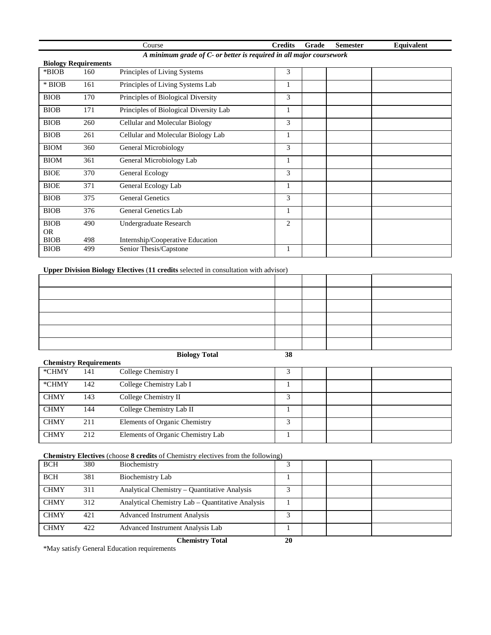|                                                                     |                             | Course                                 | <b>Credits</b> | Grade | <b>Semester</b> | Equivalent |  |  |
|---------------------------------------------------------------------|-----------------------------|----------------------------------------|----------------|-------|-----------------|------------|--|--|
| A minimum grade of C- or better is required in all major coursework |                             |                                        |                |       |                 |            |  |  |
|                                                                     | <b>Biology Requirements</b> |                                        |                |       |                 |            |  |  |
| *BIOB                                                               | 160                         | Principles of Living Systems           | 3              |       |                 |            |  |  |
| $*$ BIOB                                                            | 161                         | Principles of Living Systems Lab       | 1              |       |                 |            |  |  |
| <b>BIOB</b>                                                         | 170                         | Principles of Biological Diversity     | 3              |       |                 |            |  |  |
| <b>BIOB</b>                                                         | 171                         | Principles of Biological Diversity Lab | 1              |       |                 |            |  |  |
| <b>BIOB</b>                                                         | 260                         | Cellular and Molecular Biology         | 3              |       |                 |            |  |  |
| <b>BIOB</b>                                                         | 261                         | Cellular and Molecular Biology Lab     | 1              |       |                 |            |  |  |
| <b>BIOM</b>                                                         | 360                         | General Microbiology                   | 3              |       |                 |            |  |  |
| <b>BIOM</b>                                                         | 361                         | General Microbiology Lab               | 1              |       |                 |            |  |  |
| <b>BIOE</b>                                                         | 370                         | General Ecology                        | 3              |       |                 |            |  |  |
| <b>BIOE</b>                                                         | 371                         | General Ecology Lab                    | 1              |       |                 |            |  |  |
| <b>BIOB</b>                                                         | 375                         | <b>General Genetics</b>                | 3              |       |                 |            |  |  |
| <b>BIOB</b>                                                         | 376                         | General Genetics Lab                   | 1              |       |                 |            |  |  |
| <b>BIOB</b>                                                         | 490                         | Undergraduate Research                 | $\overline{c}$ |       |                 |            |  |  |
| <b>OR</b>                                                           |                             |                                        |                |       |                 |            |  |  |
| <b>BIOB</b>                                                         | 498                         | Internship/Cooperative Education       |                |       |                 |            |  |  |
| <b>BIOB</b>                                                         | 499                         | Senior Thesis/Capstone                 |                |       |                 |            |  |  |

## **Upper Division Biology Electives** (**11 credits** selected in consultation with advisor)

| <b>Biology Total</b> | 38 |  |  |
|----------------------|----|--|--|

|             |                               | $\mathbf{D}_1 \mathbf{U}_2 \mathbf{U}_3 \mathbf{U}_4$ | ◡ |  |  |  |  |  |  |
|-------------|-------------------------------|-------------------------------------------------------|---|--|--|--|--|--|--|
|             | <b>Chemistry Requirements</b> |                                                       |   |  |  |  |  |  |  |
| *CHMY       | 141                           | College Chemistry I                                   |   |  |  |  |  |  |  |
| *CHMY       | 142                           | College Chemistry Lab I                               |   |  |  |  |  |  |  |
| <b>CHMY</b> | 143                           | College Chemistry II                                  | 3 |  |  |  |  |  |  |
| <b>CHMY</b> | 144                           | College Chemistry Lab II                              |   |  |  |  |  |  |  |
| <b>CHMY</b> | 211                           | Elements of Organic Chemistry                         | 2 |  |  |  |  |  |  |
| <b>CHMY</b> | 212                           | Elements of Organic Chemistry Lab                     |   |  |  |  |  |  |  |

#### **Chemistry Electives** (choose **8 credits** of Chemistry electives from the following)

| <b>BCH</b>  | 380 | Biochemistry                                     |    |  |  |
|-------------|-----|--------------------------------------------------|----|--|--|
| <b>BCH</b>  | 381 | Biochemistry Lab                                 |    |  |  |
| <b>CHMY</b> | 311 | Analytical Chemistry – Quantitative Analysis     |    |  |  |
| <b>CHMY</b> | 312 | Analytical Chemistry Lab – Quantitative Analysis |    |  |  |
| <b>CHMY</b> | 421 | <b>Advanced Instrument Analysis</b>              |    |  |  |
| <b>CHMY</b> | 422 | Advanced Instrument Analysis Lab                 |    |  |  |
|             |     | <b>Chemistry Total</b>                           | 20 |  |  |

\*May satisfy General Education requirements